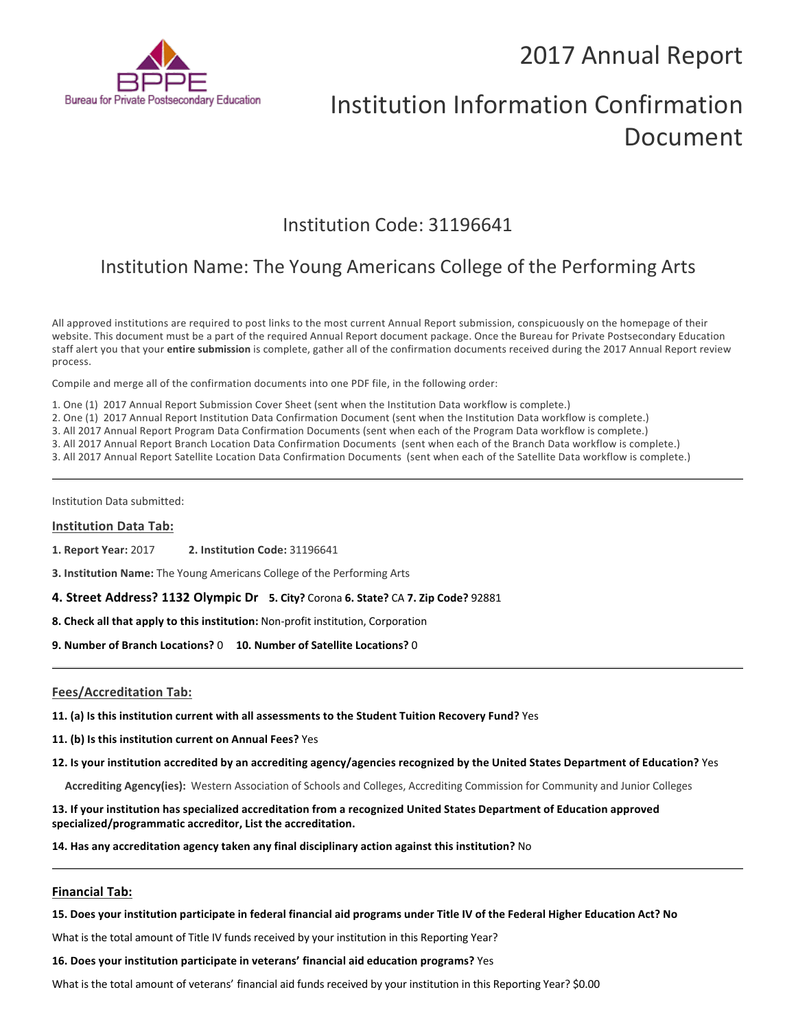

# Institution Information Confirmation Document

# Institution Code: 31196641

# Institution Name: The Young Americans College of the Performing Arts

All approved institutions are required to post links to the most current Annual Report submission, conspicuously on the homepage of their website. This document must be a part of the required Annual Report document package. Once the Bureau for Private Postsecondary Education staff alert you that your **entire submission** is complete, gather all of the confirmation documents received during the 2017 Annual Report review process.

Compile and merge all of the confirmation documents into one PDF file, in the following order:

1. One (1) 2017 Annual Report Submission Cover Sheet (sent when the Institution Data workflow is complete.)

2. One (1) 2017 Annual Report Institution Data Confirmation Document (sent when the Institution Data workflow is complete.)

3. All 2017 Annual Report Program Data Confirmation Documents (sent when each of the Program Data workflow is complete.)

3. All 2017 Annual Report Branch Location Data Confirmation Documents (sent when each of the Branch Data workflow is complete.)

3. All 2017 Annual Report Satellite Location Data Confirmation Documents (sent when each of the Satellite Data workflow is complete.)

Institution Data submitted:

### **Institution Data Tab:**

**1. Report Year:** 2017 **2. Institution Code:** <sup>31196641</sup>

**3. Institution Name:** The Young Americans College of the Performing Arts

**4. Street Address? 1132 Olympic Dr 5. City?** Corona **6. State?** CA **7. Zip Code?** 92881

**8. Check all that apply to this institution:** Non-profit institution, Corporation

**9. Number of Branch Locations?** 0 **10. Number of Satellite Locations?** <sup>0</sup>

# **Fees/Accreditation Tab:**

- **11. (a) Is this institution current with all assessments to the Student Tuition Recovery Fund?** Yes
- **11. (b) Is this institution current on Annual Fees?** Yes
- **12. Is your institution accredited by an accrediting agency/agencies recognized by the United States Department of Education?** Yes
	- **Accrediting Agency(ies):** Western Association of Schools and Colleges, Accrediting Commission for Community and Junior Colleges

**13. If your institution has specialized accreditation from a recognized United States Department of Education approved specialized/programmatic accreditor, List the accreditation.**

**14. Has any accreditation agency taken any final disciplinary action against this institution?** No

# **Financial Tab:**

### **15. Does your institution participate in federal financial aid programs under Title IV of the Federal Higher Education Act? No**

What is the total amount of Title IV funds received by your institution in this Reporting Year?

**16. Does your institution participate in veterans' financial aid education programs?** Yes

What is the total amount of veterans' financial aid funds received by your institution in this Reporting Year? \$0.00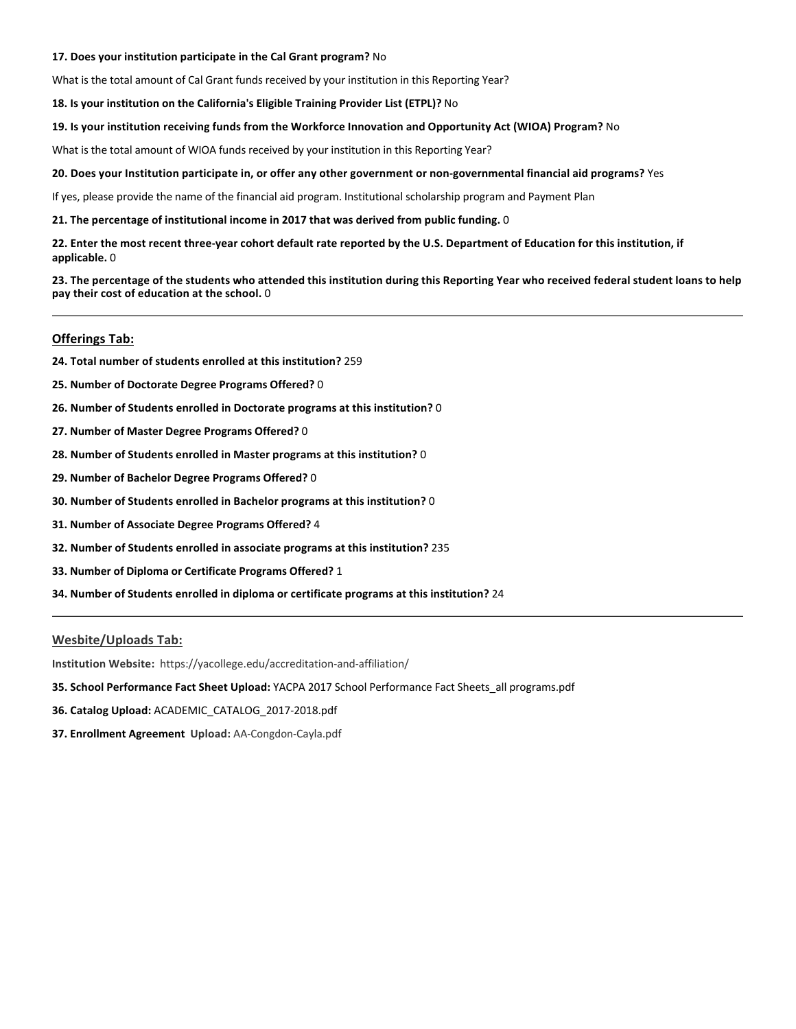# **17. Does your institution participate in the Cal Grant program?** No

What is the total amount of Cal Grant funds received by your institution in this Reporting Year?

**18. Is your institution on the California's Eligible Training Provider List (ETPL)?** No

# **19. Is your institution receiving funds from the Workforce Innovation and Opportunity Act (WIOA) Program?** No

What is the total amount of WIOA funds received by your institution in this Reporting Year?

# **20. Does your Institution participate in, or offer any other government or non-governmental financial aid programs?** Yes

If yes, please provide the name of the financial aid program. Institutional scholarship program and Payment Plan

**21. The percentage of institutional income in 2017 that was derived from public funding.** 0

**22. Enter the most recent three-year cohort default rate reported by the U.S. Department of Education for this institution, if applicable.** 0

**23. The percentage of the students who attended this institution during this Reporting Year who received federal student loans to help pay their cost of education at the school.** 0

# **Offerings Tab:**

- **24. Total number of students enrolled at this institution?** 259
- **25. Number of Doctorate Degree Programs Offered?** 0
- **26. Number of Students enrolled in Doctorate programs at this institution?** 0
- **27. Number of Master Degree Programs Offered?** 0
- **28. Number of Students enrolled in Master programs at this institution?** 0
- **29. Number of Bachelor Degree Programs Offered?** 0
- **30. Number of Students enrolled in Bachelor programs at this institution?** 0
- **31. Number of Associate Degree Programs Offered?** 4
- **32. Number of Students enrolled in associate programs at this institution?** 235
- **33. Number of Diploma or Certificate Programs Offered?** 1
- **34. Number of Students enrolled in diploma or certificate programs at this institution?** 24

# **Wesbite/Uploads Tab:**

**Institution Website:** https://yacollege.edu/accreditation-and-affiliation/

- **35. School Performance Fact Sheet Upload:** YACPA 2017 School Performance Fact Sheets\_all programs.pdf
- **36. Catalog Upload:** ACADEMIC\_CATALOG\_2017-2018.pdf
- **37. Enrollment Agreement Upload:** AA-Congdon-Cayla.pdf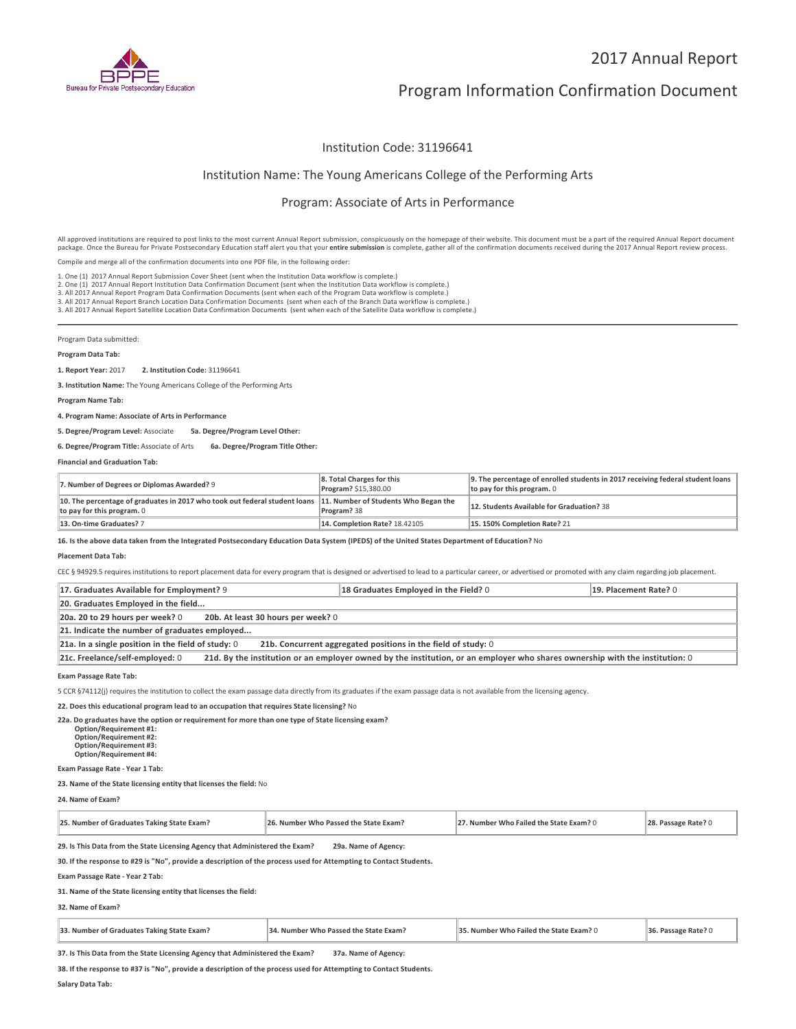

# Program Information Confirmation Document

# Institution Code: 31196641

# Institution Name: The Young Americans College of the Performing Arts

# Program: Associate of Arts in Performance

All approved institutions are required to post links to the most current Annual Report submission, conspicuously on the homepage of their website. This document must be a part of the required Annual Report document package. Once the Bureau for Private Postsecondary Education staff alert you that your **entire submission** is complete, gather all of the confirmation documents received during the 2017 Annual Report review process.

Compile and merge all of the confirmation documents into one PDF file, in the following order:

1. One (1) 2017 Annual Report Submission Cover Sheet (sent when the Institution Data workflow is complete.)

1. One (1) 2017 Annual Report Submission Cover Sheet (sent when the Institution Data workflow is complete.)<br>2. One (1) 2017 Annual Report Institution Data Confirmation Document (sent when the Institution Data workflow is c

Program Data submitted:

### **Program Data Tab:**

**1. Report Year:** 2017 **2. Institution Code:** <sup>31196641</sup>

**3. Institution Name:** The Young Americans College of the Performing Arts

**Program Name Tab:**

**4. Program Name: Associate of Arts in Performance**

**5. Degree/Program Level:** Associate **5a. Degree/Program Level Other:**

**6. Degree/Program Title:** Associate of Arts **6a. Degree/Program Title Other:**

**Financial and Graduation Tab:**

| 7. Number of Degrees or Diplomas Awarded? 9                                                                                                   | 8. Total Charges for this<br>Program? \$15,380.00 | 9. The percentage of enrolled students in 2017 receiving federal student loans<br>to pay for this program. $0$ |
|-----------------------------------------------------------------------------------------------------------------------------------------------|---------------------------------------------------|----------------------------------------------------------------------------------------------------------------|
| 10. The percentage of graduates in 2017 who took out federal student loans 11. Number of Students Who Began the<br>to pay for this program. 0 | Program? 38                                       | 12. Students Available for Graduation? 38                                                                      |
| 13. On-time Graduates? 7                                                                                                                      | <b>14. Completion Rate? 18.42105</b>              | 15.150% Completion Rate? 21                                                                                    |

**16. Is the above data taken from the Integrated Postsecondary Education Data System (IPEDS) of the United States Department of Education?** No

#### **Placement Data Tab:**

CEC § 94929.5 requires institutions to report placement data for every program that is designed or advertised to lead to a particular career, or advertised or promoted with any claim regarding job placement.

| 17. Graduates Available for Employment? 9                                                                                                                       | 18 Graduates Employed in the Field? 0 | 19. Placement Rate? 0 |  |
|-----------------------------------------------------------------------------------------------------------------------------------------------------------------|---------------------------------------|-----------------------|--|
| 20. Graduates Employed in the field                                                                                                                             |                                       |                       |  |
| 20b. At least 30 hours per week? 0<br>20a. 20 to 29 hours per week? 0                                                                                           |                                       |                       |  |
| 21. Indicate the number of graduates employed                                                                                                                   |                                       |                       |  |
| 21a. In a single position in the field of study: $0$<br>21b. Concurrent aggregated positions in the field of study: 0                                           |                                       |                       |  |
| 21c. Freelance/self-employed: 0<br>21d. By the institution or an employer owned by the institution, or an employer who shares ownership with the institution: 0 |                                       |                       |  |

**Exam Passage Rate Tab:**

5 CCR §74112(j) requires the institution to collect the exam passage data directly from its graduates if the exam passage data is not available from the licensing agency.

**22. Does this educational program lead to an occupation that requires State licensing?** No

**22a. Do graduates have the option or requirement for more than one type of State licensing exam? Option/Requirement #1: Option/Requirement #2:**

 **Option/Requirement #3: Option/Requirement #4:**

**Exam Passage Rate - Year 1 Tab:**

**23. Name of the State licensing entity that licenses the field:** No

**24. Name of Exam?**

| 25. Number of Graduates Taking State Exam? | . Number Who Passed the State Exam? | '. Number Who Failed the State Exam? ( | <b>BALE</b> |
|--------------------------------------------|-------------------------------------|----------------------------------------|-------------|
|--------------------------------------------|-------------------------------------|----------------------------------------|-------------|

**29. Is This Data from the State Licensing Agency that Administered the Exam? 29a. Name of Agency:**

**30. If the response to #29 is "No", provide a description of the process used for Attempting to Contact Students.**

**Exam Passage Rate - Year 2 Tab:**

**31. Name of the State licensing entity that licenses the field:**

### **32. Name of Exam?**

| 33. Number of Graduates Taking State Exam? | 34. Number Who Passed the State Exam? | 35. Number Who Failed the State Exam? 0 | 36. Passage Rate? 0 |
|--------------------------------------------|---------------------------------------|-----------------------------------------|---------------------|
|--------------------------------------------|---------------------------------------|-----------------------------------------|---------------------|

**37. Is This Data from the State Licensing Agency that Administered the Exam? 37a. Name of Agency:**

**38. If the response to #37 is "No", provide a description of the process used for Attempting to Contact Students.**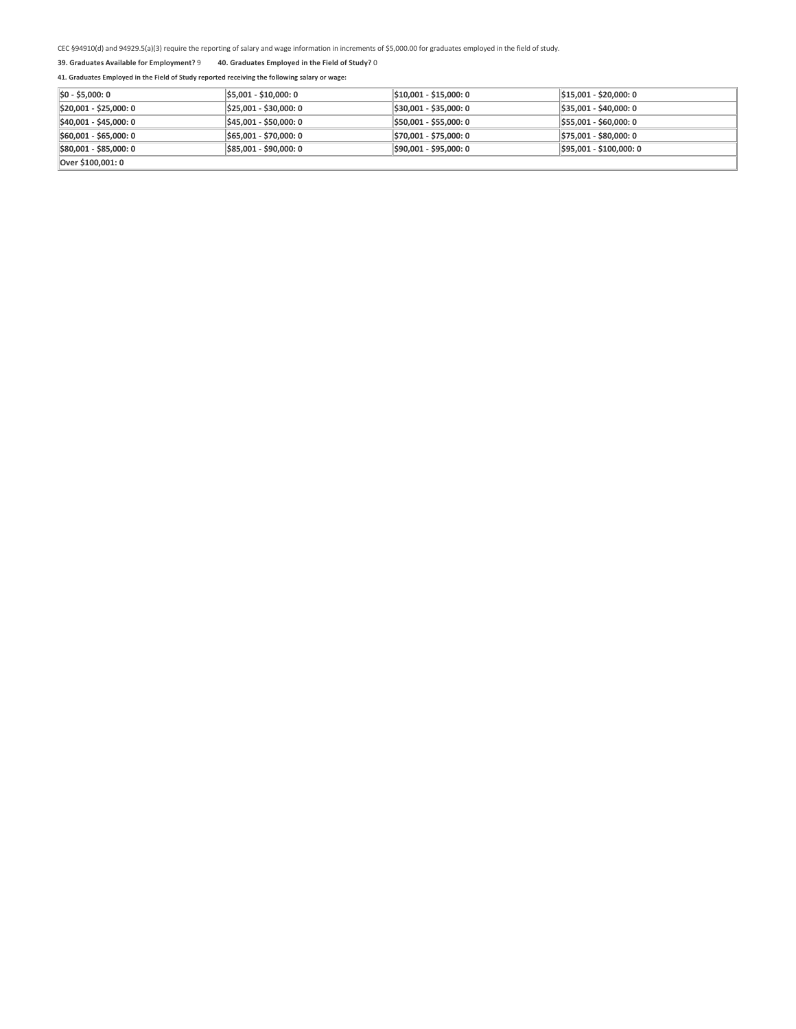### **39. Graduates Available for Employment?** 9 **40. Graduates Employed in the Field of Study?** <sup>0</sup>

| $ 50 - 55,000:0 $      | \$5,001 - \$10,000: 0  | \$10,001 - \$15,000: 0 | $ \$15,001 - \$20,000:0$ |
|------------------------|------------------------|------------------------|--------------------------|
| \$20,001 - \$25,000: 0 | \$25,001 - \$30,000: 0 | \$30,001 - \$35,000: 0 | $ \$35,001 - $40,000:0$  |
| \$40,001 - \$45,000: 0 | \$45,001 - \$50,000: 0 | \$50,001 - \$55,000: 0 | $$55,001 - $60,000:0$    |
| \$60,001 - \$65,000: 0 | \$65,001 - \$70,000: 0 | \$70,001 - \$75,000: 0 | $$75,001 - $80,000:0$    |
| \$80,001 - \$85,000: 0 | \$85,001 - \$90,000: 0 | \$90,001 - \$95,000: 0 | \$95,001 - \$100,000: 0  |
| Over \$100.001: 0      |                        |                        |                          |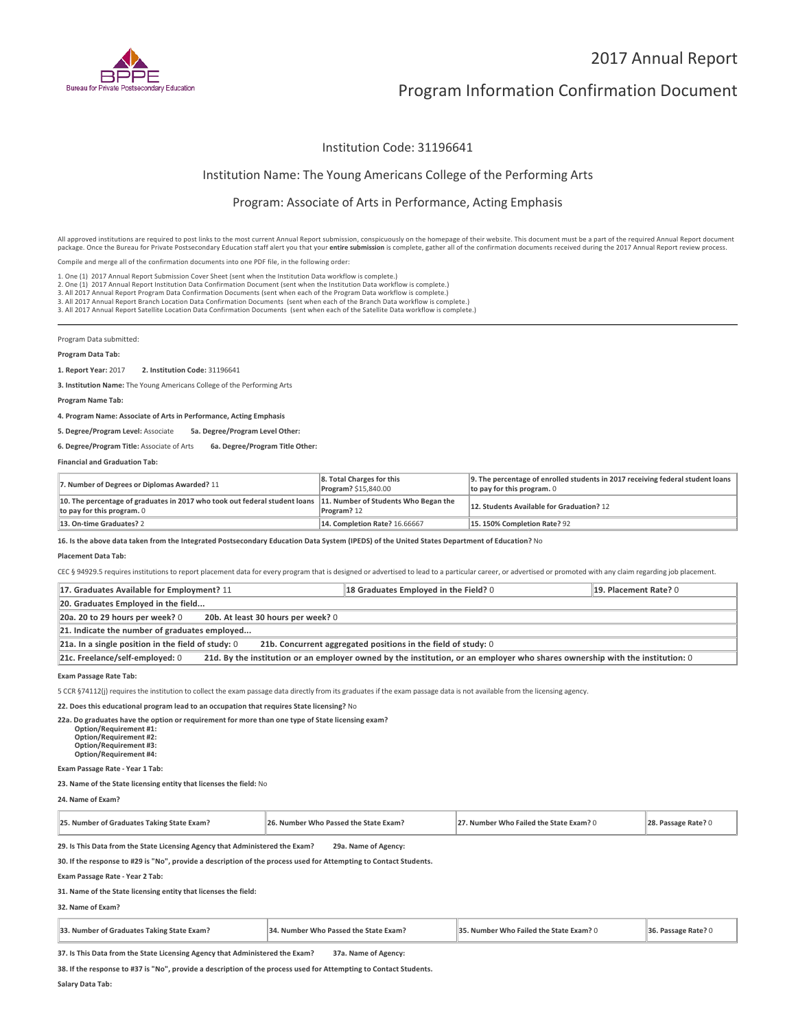

# Program Information Confirmation Document

# Institution Code: 31196641

# Institution Name: The Young Americans College of the Performing Arts

# Program: Associate of Arts in Performance, Acting Emphasis

All approved institutions are required to post links to the most current Annual Report submission, conspicuously on the homepage of their website. This document must be a part of the required Annual Report document package. Once the Bureau for Private Postsecondary Education staff alert you that your **entire submission** is complete, gather all of the confirmation documents received during the 2017 Annual Report review process. Compile and merge all of the confirmation documents into one PDF file, in the following order:

1. One (1) 2017 Annual Report Submission Cover Sheet (sent when the Institution Data workflow is complete.)

2. One (1) 2017 Annual Report Institution Data Confirmation Document (sent when the Institution Data workflow is complete.)

2. One (1) 2017 Annual Report Institution Data Confirmation Document (sent when the Institution Data workflow is complete.)<br>3. All 2017 Annual Report Program Data Confirmation Documents (sent when each of the Program Data

Program Data submitted:

### **Program Data Tab:**

**1. Report Year:** 2017 **2. Institution Code:** <sup>31196641</sup>

**3. Institution Name:** The Young Americans College of the Performing Arts

**Program Name Tab:**

**4. Program Name: Associate of Arts in Performance, Acting Emphasis**

**5. Degree/Program Level:** Associate **5a. Degree/Program Level Other:**

**6. Degree/Program Title:** Associate of Arts **6a. Degree/Program Title Other:**

**Financial and Graduation Tab:**

| 7. Number of Degrees or Diplomas Awarded? 11                                                                                                  | 8. Total Charges for this<br>Program? \$15,840.00 | 9. The percentage of enrolled students in 2017 receiving federal student loans<br>to pay for this program. $0$ |
|-----------------------------------------------------------------------------------------------------------------------------------------------|---------------------------------------------------|----------------------------------------------------------------------------------------------------------------|
| 10. The percentage of graduates in 2017 who took out federal student loans 11. Number of Students Who Began the<br>to pay for this program. 0 | Program? 12                                       | 12. Students Available for Graduation? 12                                                                      |
| 13. On-time Graduates? 2                                                                                                                      | 14. Completion Rate? 16.66667                     | 15.150% Completion Rate? 92                                                                                    |

**16. Is the above data taken from the Integrated Postsecondary Education Data System (IPEDS) of the United States Department of Education?** No

#### **Placement Data Tab:**

CEC § 94929.5 requires institutions to report placement data for every program that is designed or advertised to lead to a particular career, or advertised or promoted with any claim regarding job placement.

| 17. Graduates Available for Employment? 11                                                                                                                      | 18 Graduates Employed in the Field? 0 | 19. Placement Rate? 0 |  |
|-----------------------------------------------------------------------------------------------------------------------------------------------------------------|---------------------------------------|-----------------------|--|
| 20. Graduates Employed in the field                                                                                                                             |                                       |                       |  |
| 20b. At least 30 hours per week? 0<br>20a. 20 to 29 hours per week? 0                                                                                           |                                       |                       |  |
| 21. Indicate the number of graduates employed                                                                                                                   |                                       |                       |  |
| $21a$ . In a single position in the field of study: 0<br>21b. Concurrent aggregated positions in the field of study: 0                                          |                                       |                       |  |
| 21c. Freelance/self-employed: 0<br>21d. By the institution or an employer owned by the institution, or an employer who shares ownership with the institution: 0 |                                       |                       |  |

#### **Exam Passage Rate Tab:**

5 CCR §74112(j) requires the institution to collect the exam passage data directly from its graduates if the exam passage data is not available from the licensing agency.

**22. Does this educational program lead to an occupation that requires State licensing?** No

**22a. Do graduates have the option or requirement for more than one type of State licensing exam? Option/Requirement #1: Option/Requirement #2: Option/Requirement #3:**

**Option/Requirement #4:**

**Exam Passage Rate - Year 1 Tab:**

**23. Name of the State licensing entity that licenses the field:** No

**24. Name of Exam?**

| 25. Number of Graduates Taking State Exam? | . Number Who Passed the State Exam? | . Number Who Failed the State Exam? ( |  |
|--------------------------------------------|-------------------------------------|---------------------------------------|--|
|--------------------------------------------|-------------------------------------|---------------------------------------|--|

**29. Is This Data from the State Licensing Agency that Administered the Exam? 29a. Name of Agency:**

**30. If the response to #29 is "No", provide a description of the process used for Attempting to Contact Students.**

**Exam Passage Rate - Year 2 Tab:**

**31. Name of the State licensing entity that licenses the field:**

### **32. Name of Exam?**

| 33. Number of Graduates Taking State Exam? | 34. Number Who Passed the State Exam? | 35. Number Who Failed the State Exam? 0 | 36. Passage Rate? 0 |
|--------------------------------------------|---------------------------------------|-----------------------------------------|---------------------|
|--------------------------------------------|---------------------------------------|-----------------------------------------|---------------------|

**37. Is This Data from the State Licensing Agency that Administered the Exam? 37a. Name of Agency:**

**38. If the response to #37 is "No", provide a description of the process used for Attempting to Contact Students.**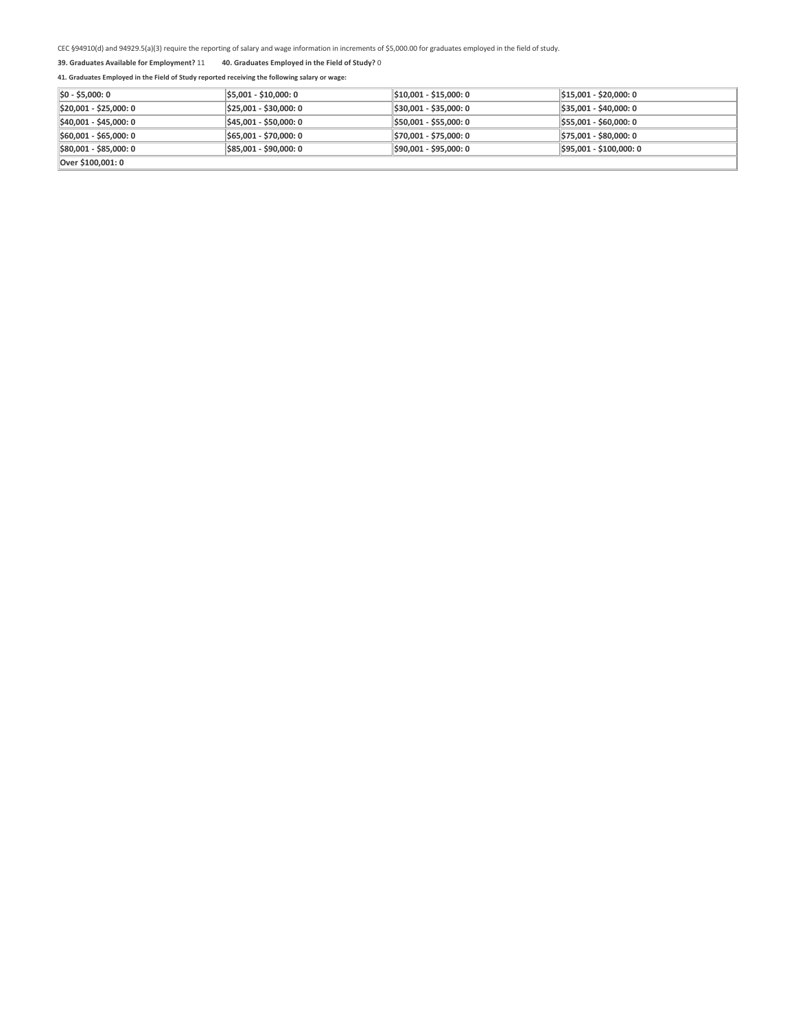# **39. Graduates Available for Employment?** 11 **40. Graduates Employed in the Field of Study?** <sup>0</sup>

| $ $0 - $5,000:0$       | \$5,001 - \$10,000: 0  | \$10,001 - \$15,000: 0 | $\frac{1}{2}$ \$15,001 - \$20,000: 0 |
|------------------------|------------------------|------------------------|--------------------------------------|
| \$20,001 - \$25,000: 0 | \$25,001 - \$30,000: 0 | \$30,001 - \$35,000: 0 | $$35,001 - $40,000:0$                |
| \$40,001 - \$45,000: 0 | \$45,001 - \$50,000: 0 | \$50,001 - \$55,000: 0 | $$55,001 - $60,000:0$                |
| \$60,001 - \$65,000: 0 | \$65,001 - \$70,000: 0 | \$70,001 - \$75,000: 0 | \$75,001 - \$80,000: 0               |
| \$80,001 - \$85,000: 0 | \$85,001 - \$90,000: 0 | \$90,001 - \$95,000: 0 | \$95,001 - \$100,000: 0              |
| Over \$100.001: 0      |                        |                        |                                      |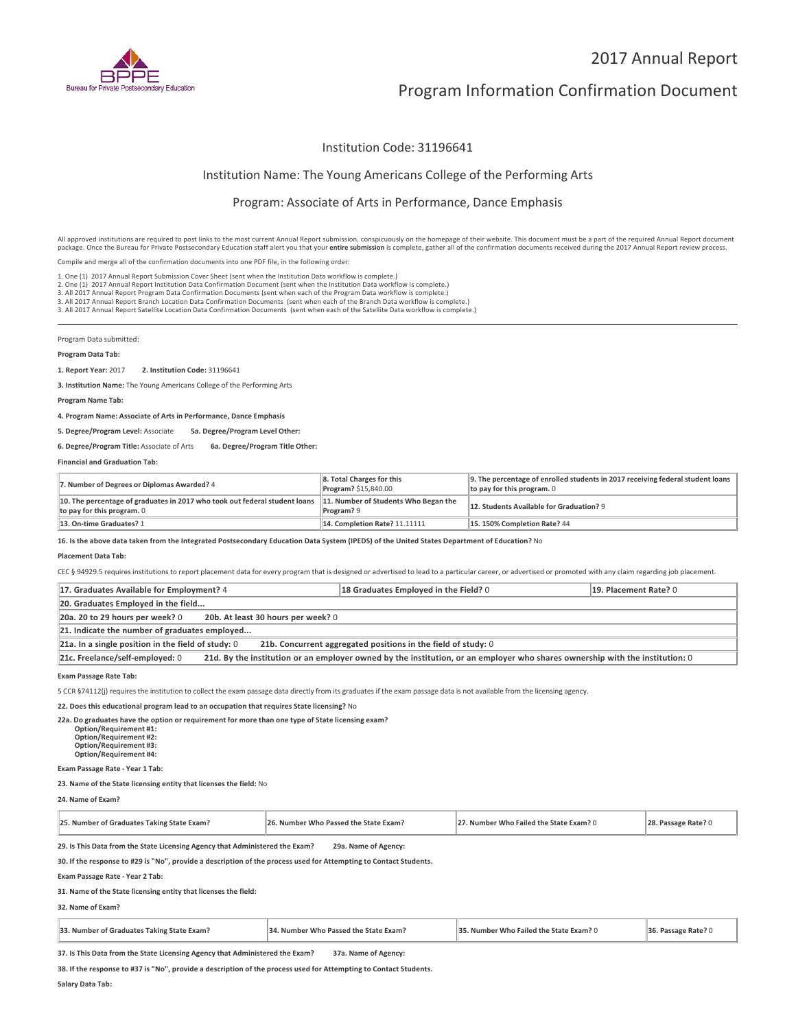

# Program Information Confirmation Document

# Institution Code: 31196641

# Institution Name: The Young Americans College of the Performing Arts

# Program: Associate of Arts in Performance, Dance Emphasis

All approved institutions are required to post links to the most current Annual Report submission, conspicuously on the homepage of their website. This document must be a part of the required Annual Report document package. Once the Bureau for Private Postsecondary Education staff alert you that your **entire submission** is complete, gather all of the confirmation documents received during the 2017 Annual Report review process. Compile and merge all of the confirmation documents into one PDF file, in the following order:

1. One (1) 2017 Annual Report Submission Cover Sheet (sent when the Institution Data workflow is complete.)

2. One (1) 2017 Annual Report Institution Data Confirmation Document (sent when the Institution Data workflow is complete.)

2. One (1) 2017 Annual Report Institution Data Confirmation Document (sent when the Institution Data workflow is complete.)<br>3. All 2017 Annual Report Program Data Confirmation Documents (sent when each of the Program Data

Program Data submitted:

### **Program Data Tab:**

**1. Report Year:** 2017 **2. Institution Code:** <sup>31196641</sup>

**3. Institution Name:** The Young Americans College of the Performing Arts

**Program Name Tab:**

**4. Program Name: Associate of Arts in Performance, Dance Emphasis**

**5. Degree/Program Level:** Associate **5a. Degree/Program Level Other:**

**6. Degree/Program Title:** Associate of Arts **6a. Degree/Program Title Other:**

**Financial and Graduation Tab:**

| 7. Number of Degrees or Diplomas Awarded? 4                                                              | 8. Total Charges for this<br><b>Program? \$15,840.00</b> | 9. The percentage of enrolled students in 2017 receiving federal student loans<br>to pay for this program. $0$ |
|----------------------------------------------------------------------------------------------------------|----------------------------------------------------------|----------------------------------------------------------------------------------------------------------------|
| 10. The percentage of graduates in 2017 who took out federal student loans<br>to pay for this program. 0 | 11. Number of Students Who Began the<br>Program? 9       | 12. Students Available for Graduation? 9                                                                       |
| 13. On-time Graduates? 1                                                                                 | 14. Completion Rate? 11.11111                            | 15.150% Completion Rate? 44                                                                                    |

**16. Is the above data taken from the Integrated Postsecondary Education Data System (IPEDS) of the United States Department of Education?** No

#### **Placement Data Tab:**

CEC § 94929.5 requires institutions to report placement data for every program that is designed or advertised to lead to a particular career, or advertised or promoted with any claim regarding job placement.

| 17. Graduates Available for Employment? 4                                                                                                                       | 18 Graduates Employed in the Field? 0 | 19. Placement Rate? 0 |  |
|-----------------------------------------------------------------------------------------------------------------------------------------------------------------|---------------------------------------|-----------------------|--|
| 20. Graduates Employed in the field                                                                                                                             |                                       |                       |  |
| 20b. At least 30 hours per week? 0<br>20a. 20 to 29 hours per week? 0                                                                                           |                                       |                       |  |
| 21. Indicate the number of graduates employed                                                                                                                   |                                       |                       |  |
| 21a. In a single position in the field of study: $0$<br>21b. Concurrent aggregated positions in the field of study: 0                                           |                                       |                       |  |
| 21c. Freelance/self-employed: 0<br>21d. By the institution or an employer owned by the institution, or an employer who shares ownership with the institution: 0 |                                       |                       |  |

#### **Exam Passage Rate Tab:**

5 CCR §74112(j) requires the institution to collect the exam passage data directly from its graduates if the exam passage data is not available from the licensing agency.

**22. Does this educational program lead to an occupation that requires State licensing?** No

**22a. Do graduates have the option or requirement for more than one type of State licensing exam? Option/Requirement #1: Option/Requirement #2: Option/Requirement #3:**

**Option/Requirement #4:**

**Exam Passage Rate - Year 1 Tab:**

**23. Name of the State licensing entity that licenses the field:** No

**24. Name of Exam?**

| 25. Number of Graduates Taking State Exam? | . Number Who Passed the State Exam? | . Number Who Failed the State Exam? ( |  |
|--------------------------------------------|-------------------------------------|---------------------------------------|--|
|--------------------------------------------|-------------------------------------|---------------------------------------|--|

**29. Is This Data from the State Licensing Agency that Administered the Exam? 29a. Name of Agency:**

**30. If the response to #29 is "No", provide a description of the process used for Attempting to Contact Students.**

**Exam Passage Rate - Year 2 Tab:**

**31. Name of the State licensing entity that licenses the field:**

### **32. Name of Exam?**

| 33. Number of Graduates Taking State Exam? | 34. Number Who Passed the State Exam? | 35. Number Who Failed the State Exam? 0 | 36. Passage Rate? |
|--------------------------------------------|---------------------------------------|-----------------------------------------|-------------------|
|--------------------------------------------|---------------------------------------|-----------------------------------------|-------------------|

**37. Is This Data from the State Licensing Agency that Administered the Exam? 37a. Name of Agency:**

**38. If the response to #37 is "No", provide a description of the process used for Attempting to Contact Students.**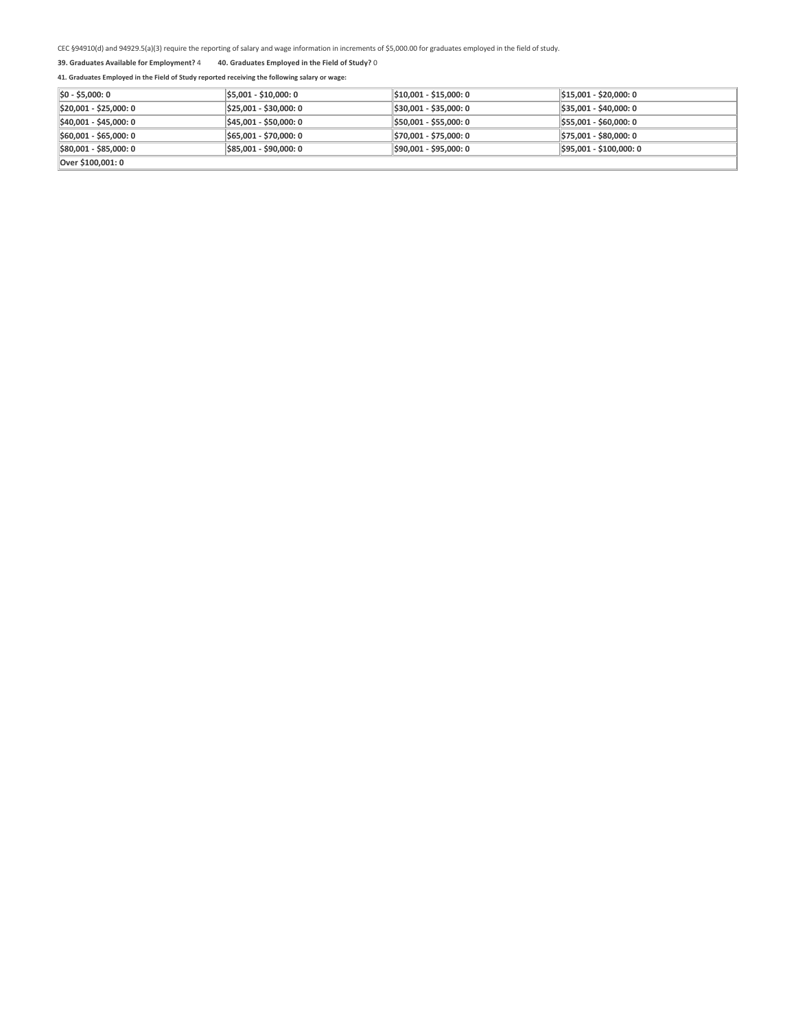### **39. Graduates Available for Employment?** 4 **40. Graduates Employed in the Field of Study?** <sup>0</sup>

| $ 50 - 55,000:0 $      | \$5,001 - \$10,000: 0  | \$10,001 - \$15,000: 0 | $ \$15,001 - \$20,000:0$ |
|------------------------|------------------------|------------------------|--------------------------|
| \$20,001 - \$25,000: 0 | \$25,001 - \$30,000: 0 | \$30,001 - \$35,000: 0 | $$35,001 - $40,000:0$    |
| \$40,001 - \$45,000: 0 | \$45,001 - \$50,000: 0 | \$50,001 - \$55,000: 0 | $$55,001 - $60,000:0$    |
| \$60,001 - \$65,000: 0 | \$65,001 - \$70,000: 0 | \$70,001 - \$75,000: 0 | \$75,001 - \$80,000: 0   |
| \$80,001 - \$85,000: 0 | \$85,001 - \$90,000: 0 | \$90,001 - \$95,000: 0 | \$95,001 - \$100,000: 0  |
| Over \$100,001: 0      |                        |                        |                          |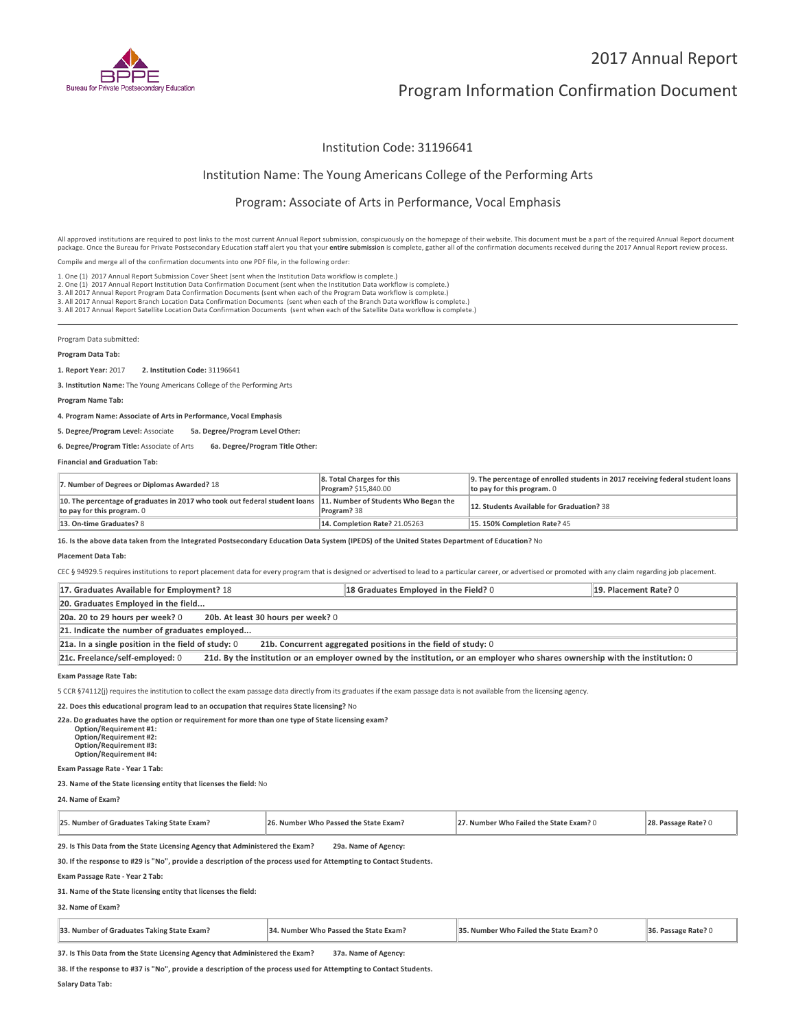

# Program Information Confirmation Document

# Institution Code: 31196641

# Institution Name: The Young Americans College of the Performing Arts

# Program: Associate of Arts in Performance, Vocal Emphasis

All approved institutions are required to post links to the most current Annual Report submission, conspicuously on the homepage of their website. This document must be a part of the required Annual Report document package. Once the Bureau for Private Postsecondary Education staff alert you that your **entire submission** is complete, gather all of the confirmation documents received during the 2017 Annual Report review process. Compile and merge all of the confirmation documents into one PDF file, in the following order:

1. One (1) 2017 Annual Report Submission Cover Sheet (sent when the Institution Data workflow is complete.)

2. One (1) 2017 Annual Report Institution Data Confirmation Document (sent when the Institution Data workflow is complete.)

2. One (1) 2017 Annual Report Institution Data Confirmation Document (sent when the Institution Data workflow is complete.)<br>3. All 2017 Annual Report Program Data Confirmation Documents (sent when each of the Program Data

Program Data submitted:

### **Program Data Tab:**

**1. Report Year:** 2017 **2. Institution Code:** <sup>31196641</sup>

**3. Institution Name:** The Young Americans College of the Performing Arts

**Program Name Tab:**

**4. Program Name: Associate of Arts in Performance, Vocal Emphasis**

**5. Degree/Program Level:** Associate **5a. Degree/Program Level Other:**

**6. Degree/Program Title:** Associate of Arts **6a. Degree/Program Title Other:**

**Financial and Graduation Tab:**

| 7. Number of Degrees or Diplomas Awarded? 18                                                                                                  | 8. Total Charges for this<br>Program? \$15,840.00 | 9. The percentage of enrolled students in 2017 receiving federal student loans<br>to pay for this program. $0$ |
|-----------------------------------------------------------------------------------------------------------------------------------------------|---------------------------------------------------|----------------------------------------------------------------------------------------------------------------|
| 10. The percentage of graduates in 2017 who took out federal student loans 11. Number of Students Who Began the<br>to pay for this program. 0 | Program? 38                                       | 12. Students Available for Graduation? 38                                                                      |
| 13. On-time Graduates? 8                                                                                                                      | <b>14. Completion Rate? 21.05263</b>              | 15.150% Completion Rate? 45                                                                                    |

**16. Is the above data taken from the Integrated Postsecondary Education Data System (IPEDS) of the United States Department of Education?** No

#### **Placement Data Tab:**

CEC § 94929.5 requires institutions to report placement data for every program that is designed or advertised to lead to a particular career, or advertised or promoted with any claim regarding job placement.

| 17. Graduates Available for Employment? 18                                                                                                                      | 18 Graduates Employed in the Field? 0 | 19. Placement Rate? 0 |  |
|-----------------------------------------------------------------------------------------------------------------------------------------------------------------|---------------------------------------|-----------------------|--|
| 20. Graduates Employed in the field                                                                                                                             |                                       |                       |  |
| 20b. At least 30 hours per week? 0<br>20a. 20 to 29 hours per week? 0                                                                                           |                                       |                       |  |
| 21. Indicate the number of graduates employed                                                                                                                   |                                       |                       |  |
| 21a. In a single position in the field of study: 0<br>21b. Concurrent aggregated positions in the field of study: 0                                             |                                       |                       |  |
| 21c. Freelance/self-employed: 0<br>21d. By the institution or an employer owned by the institution, or an employer who shares ownership with the institution: 0 |                                       |                       |  |

#### **Exam Passage Rate Tab:**

5 CCR §74112(j) requires the institution to collect the exam passage data directly from its graduates if the exam passage data is not available from the licensing agency.

**22. Does this educational program lead to an occupation that requires State licensing?** No

**22a. Do graduates have the option or requirement for more than one type of State licensing exam?**

 **Option/Requirement #1: Option/Requirement #2: Option/Requirement #3: Option/Requirement #4:**

**Exam Passage Rate - Year 1 Tab:**

**23. Name of the State licensing entity that licenses the field:** No

**24. Name of Exam?**

| 25. Number of Graduates Taking State Exam? | . Number Who Passed the State Exam? | . Number Who Failed the State Exam? ( |  |
|--------------------------------------------|-------------------------------------|---------------------------------------|--|
|--------------------------------------------|-------------------------------------|---------------------------------------|--|

**29. Is This Data from the State Licensing Agency that Administered the Exam? 29a. Name of Agency:**

**30. If the response to #29 is "No", provide a description of the process used for Attempting to Contact Students.**

**Exam Passage Rate - Year 2 Tab:**

**31. Name of the State licensing entity that licenses the field:**

### **32. Name of Exam?**

| 33. Number of Graduates Taking State Exam? | 34. Number Who Passed the State Exam?<br>35. Number Who Failed the State Exam? 0 | 36. Passage Rate? |
|--------------------------------------------|----------------------------------------------------------------------------------|-------------------|
|--------------------------------------------|----------------------------------------------------------------------------------|-------------------|

**37. Is This Data from the State Licensing Agency that Administered the Exam? 37a. Name of Agency:**

**38. If the response to #37 is "No", provide a description of the process used for Attempting to Contact Students.**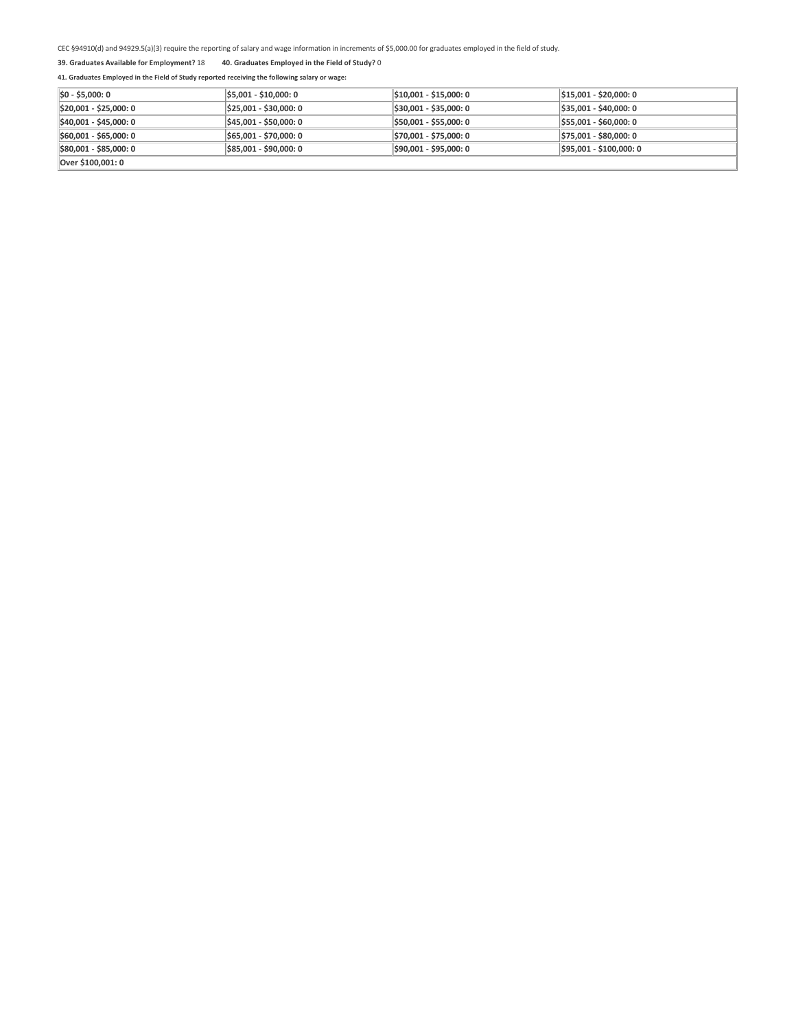### **39. Graduates Available for Employment?** 18 **40. Graduates Employed in the Field of Study?** <sup>0</sup>

| $ 50 - 55,000:0 $      | \$5,001 - \$10,000: 0  | \$10,001 - \$15,000: 0 | $$15,001 - $20,000:0$   |
|------------------------|------------------------|------------------------|-------------------------|
| \$20,001 - \$25,000: 0 | \$25,001 - \$30,000: 0 | \$30,001 - \$35,000: 0 | $$35,001 - $40,000:0$   |
| \$40,001 - \$45,000: 0 | \$45,001 - \$50,000: 0 | \$50,001 - \$55,000: 0 | $$55,001 - $60,000:0$   |
| \$60,001 - \$65,000: 0 | \$65,001 - \$70,000: 0 | \$70,001 - \$75,000: 0 | \$75,001 - \$80,000: 0  |
| \$80,001 - \$85,000: 0 | \$85,001 - \$90,000: 0 | \$90,001 - \$95,000: 0 | $ $95,001 - $100,000:0$ |
| Over \$100,001: 0      |                        |                        |                         |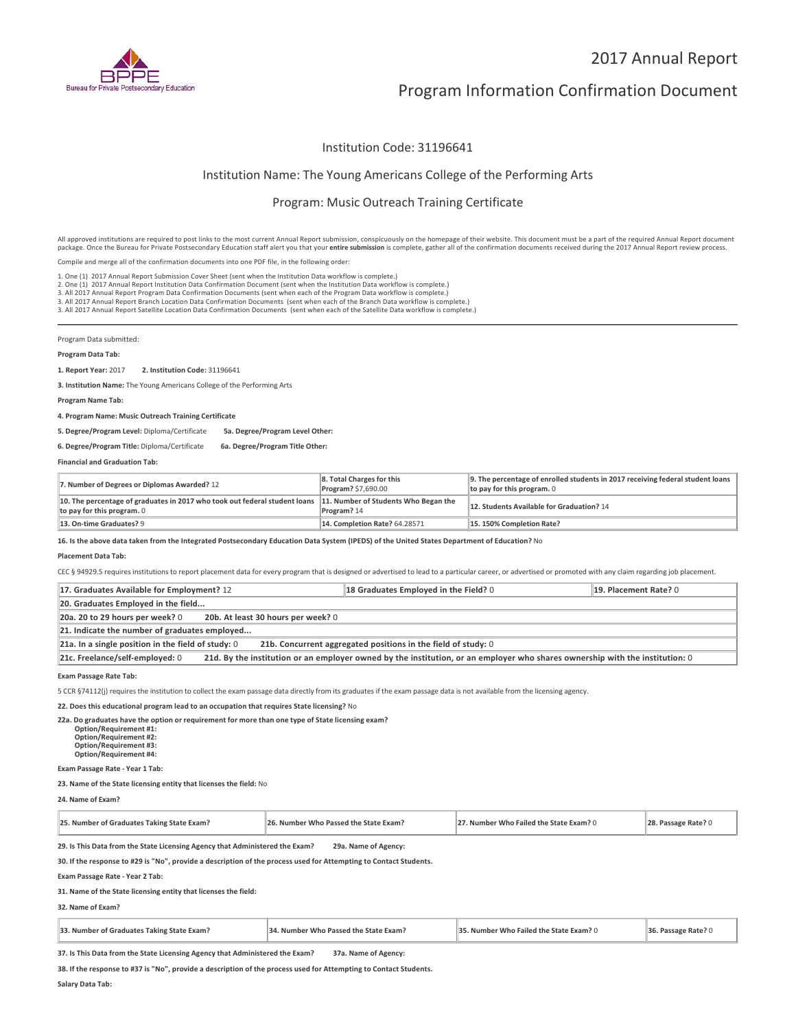

# Program Information Confirmation Document

# Institution Code: 31196641

# Institution Name: The Young Americans College of the Performing Arts

### Program: Music Outreach Training Certificate

All approved institutions are required to post links to the most current Annual Report submission, conspicuously on the homepage of their website. This document must be a part of the required Annual Report document package. Once the Bureau for Private Postsecondary Education staff alert you that your **entire submission** is complete, gather all of the confirmation documents received during the 2017 Annual Report review process.

Compile and merge all of the confirmation documents into one PDF file, in the following order:

1. One (1) 2017 Annual Report Submission Cover Sheet (sent when the Institution Data workflow is complete.)

2. One (1) 2017 Annual Report Institution Data Confirmation Document (sent when the Institution Data workflow is complete.) 2. One (1) 2017 Annual Report Institution Data Confirmation Document (sent when the Institution Data workflow is complete.)<br>3. All 2017 Annual Report Program Data Confirmation Documents (sent when each of the Program Data

Program Data submitted:

### **Program Data Tab:**

**1. Report Year:** 2017 **2. Institution Code:** <sup>31196641</sup>

**3. Institution Name:** The Young Americans College of the Performing Arts

**Program Name Tab:**

**4. Program Name: Music Outreach Training Certificate**

**5. Degree/Program Level:** Diploma/Certificate **5a. Degree/Program Level Other:**

**6. Degree/Program Title:** Diploma/Certificate **6a. Degree/Program Title Other:**

**Financial and Graduation Tab:**

| 7. Number of Degrees or Diplomas Awarded? 12                                                                                                  | 8. Total Charges for this<br>Program? \$7,690.00 | 9. The percentage of enrolled students in 2017 receiving federal student loans<br>to pay for this program. $0$ |
|-----------------------------------------------------------------------------------------------------------------------------------------------|--------------------------------------------------|----------------------------------------------------------------------------------------------------------------|
| 10. The percentage of graduates in 2017 who took out federal student loans 11. Number of Students Who Began the<br>to pay for this program. 0 | Program? 14                                      | 12. Students Available for Graduation? 14                                                                      |
| 13. On-time Graduates? 9                                                                                                                      | 14. Completion Rate? 64.28571                    | 15.150% Completion Rate?                                                                                       |

**16. Is the above data taken from the Integrated Postsecondary Education Data System (IPEDS) of the United States Department of Education?** No

#### **Placement Data Tab:**

CEC § 94929.5 requires institutions to report placement data for every program that is designed or advertised to lead to a particular career, or advertised or promoted with any claim regarding job placement.

| 17. Graduates Available for Employment? 12                                                                                                                      | 18 Graduates Employed in the Field? 0 | 19. Placement Rate? 0 |  |
|-----------------------------------------------------------------------------------------------------------------------------------------------------------------|---------------------------------------|-----------------------|--|
| 20. Graduates Employed in the field                                                                                                                             |                                       |                       |  |
| 20b. At least 30 hours per week? 0<br>20a. 20 to 29 hours per week? 0                                                                                           |                                       |                       |  |
| 21. Indicate the number of graduates employed                                                                                                                   |                                       |                       |  |
| 21a. In a single position in the field of study: 0<br>21b. Concurrent aggregated positions in the field of study: 0                                             |                                       |                       |  |
| 21c. Freelance/self-employed: 0<br>21d. By the institution or an employer owned by the institution, or an employer who shares ownership with the institution: 0 |                                       |                       |  |

#### **Exam Passage Rate Tab:**

5 CCR §74112(j) requires the institution to collect the exam passage data directly from its graduates if the exam passage data is not available from the licensing agency.

**22. Does this educational program lead to an occupation that requires State licensing?** No

**22a. Do graduates have the option or requirement for more than one type of State licensing exam? Option/Requirement #1: Option/Requirement #2: Option/Requirement #3:**

**Option/Requirement #4:**

**Exam Passage Rate - Year 1 Tab:**

**23. Name of the State licensing entity that licenses the field:** No

**24. Name of Exam?**

| 25. Number of Graduates Taking State Exam? | .o. Number Who Passed the State Exam? | . Number Who Failed the State Exam? ( | кате |
|--------------------------------------------|---------------------------------------|---------------------------------------|------|
|--------------------------------------------|---------------------------------------|---------------------------------------|------|

**29. Is This Data from the State Licensing Agency that Administered the Exam? 29a. Name of Agency:**

**30. If the response to #29 is "No", provide a description of the process used for Attempting to Contact Students.**

**Exam Passage Rate - Year 2 Tab:**

**31. Name of the State licensing entity that licenses the field:**

### **32. Name of Exam?**

| 33. Number of Graduates Taking State Exam? | 34. Number Who Passed the State Exam? | 35. Number Who Failed the State Exam? 0 | 36. Passage Rate? 0 |
|--------------------------------------------|---------------------------------------|-----------------------------------------|---------------------|
|--------------------------------------------|---------------------------------------|-----------------------------------------|---------------------|

**37. Is This Data from the State Licensing Agency that Administered the Exam? 37a. Name of Agency:**

**38. If the response to #37 is "No", provide a description of the process used for Attempting to Contact Students.**